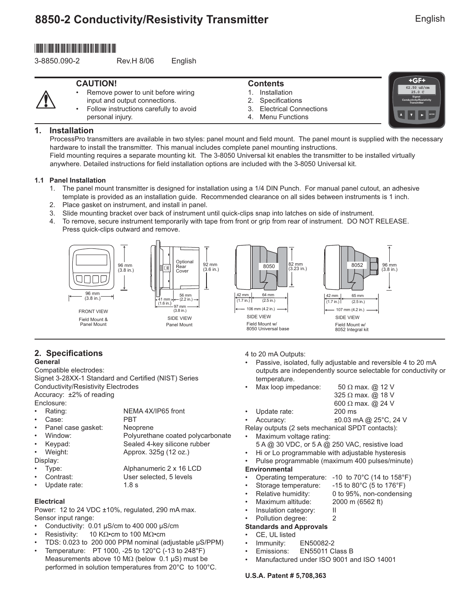# **8850-2 Conductivity/Resistivity Transmitter**

# \*3-8850.090-2\*

3-8850.090-2 Rev.H 8/06 English

| <b>CAUTION!</b>                        | <b>Contents</b>           | +GF+                                              |
|----------------------------------------|---------------------------|---------------------------------------------------|
| Remove power to unit before wiring     | Installation              | 62.50 uS/cm<br>25.0C                              |
| input and output connections.          | 2. Specifications         | Signet<br>Conductivity/Resistivity<br>Transmitter |
| Follow instructions carefully to avoid | 3. Electrical Connections |                                                   |
| personal injury.                       | 4. Menu Functions         |                                                   |

# **1. Installation**

ProcessPro transmitters are available in two styles: panel mount and field mount. The panel mount is supplied with the necessary hardware to install the transmitter. This manual includes complete panel mounting instructions. Field mounting requires a separate mounting kit. The 3-8050 Universal kit enables the transmitter to be installed virtually

anywhere. Detailed instructions for field installation options are included with the 3-8050 Universal kit.

# **1.1 Panel Installation**

- 1. The panel mount transmitter is designed for installation using a 1/4 DIN Punch. For manual panel cutout, an adhesive template is provided as an installation guide. Recommended clearance on all sides between instruments is 1 inch.
- 2. Place gasket on instrument, and install in panel.
- 3. Slide mounting bracket over back of instrument until quick-clips snap into latches on side of instrument.
- 4. To remove, secure instrument temporarily with tape from front or grip from rear of instrument. DO NOT RELEASE. Press quick-clips outward and remove.



### **2. Specifications General**

Compatible electrodes:

Signet 3-28XX-1 Standard and Certified (NIST) Series Conductivity/Resistivity Electrodes Accuracy: ±2% of reading

Enclosure:

- Rating: NEMA 4X/IP65 front Case: PBT
- Panel case gasket: Neoprene
- Window: Polyurethane coated polycarbonate
- Keypad: Sealed 4-key silicone rubber

• Weight: Approx. 325g (12 oz.)

- Display:
- Type: Alphanumeric 2 x 16 LCD
- Contrast: User selected, 5 levels
- Update rate: 1.8 s

# **Electrical**

Power: 12 to 24 VDC ±10%, regulated, 290 mA max. Sensor input range:

- Conductivity: 0.01 µS/cm to 400 000 µS/cm
- Resistivity: 10 KΩ•cm to 100 MΩ•cm
- TDS: 0.023 to 200 000 PPM nominal (adjustable µS/PPM)
- Temperature: PT 1000, -25 to 120°C (-13 to 248°F) Measurements above 10 MΩ (below 0.1 µS) must be performed in solution temperatures from 20°C to 100°C.

4 to 20 mA Outputs:

- Passive, isolated, fully adjustable and reversible 4 to 20 mA outputs are independently source selectable for conductivity or temperature.
- Max loop impedance: 50  $\Omega$  max. @ 12 V
	- 325 Ω max. @ 18 V
- 600 Ω max. @ 24 V • Update rate: 200 ms
- Accuracy: ±0.03 mA @ 25°C, 24 V

Relay outputs (2 sets mechanical SPDT contacts):

- Maximum voltage rating: 5 A @ 30 VDC, or 5 A @ 250 VAC, resistive load
	-
- Hi or Lo programmable with adjustable hysteresis • Pulse programmable (maximum 400 pulses/minute)

# **Environmental**

- Operating temperature: -10 to 70°C (14 to 158°F)
	- Storage temperature: -15 to 80°C (5 to 176°F)
- 
- Relative humidity: 0 to 95%, non-condensing
	- Maximum altitude: 2000 m (6562 ft)
- Insulation category: II
- Pollution degree: 2
- **Standards and Approvals**

# CE, UL listed

- Immunity: EN50082-2
- Emissions: EN55011 Class B
- Manufactured under ISO 9001 and ISO 14001

# **U.S.A. Patent # 5,708,363**

**ENTER**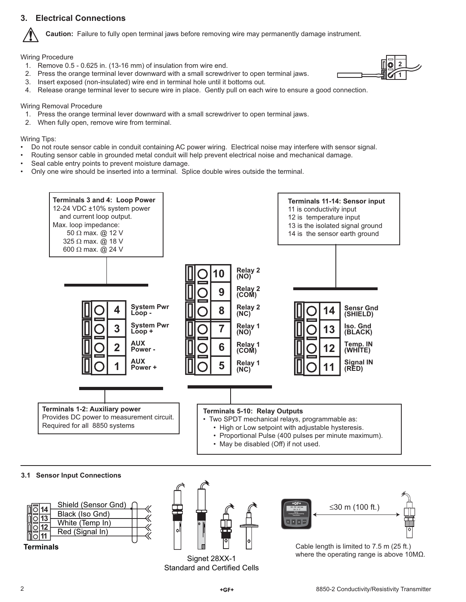# **3. Electrical Connections**



**Caution:** Failure to fully open terminal jaws before removing wire may permanently damage instrument.

Wiring Procedure

- 1. Remove 0.5 0.625 in. (13-16 mm) of insulation from wire end.
- 2. Press the orange terminal lever downward with a small screwdriver to open terminal jaws.
- 3. Insert exposed (non-insulated) wire end in terminal hole until it bottoms out.
- 4. Release orange terminal lever to secure wire in place. Gently pull on each wire to ensure a good connection.

### Wiring Removal Procedure

- 1. Press the orange terminal lever downward with a small screwdriver to open terminal jaws.
- 2. When fully open, remove wire from terminal.

Wiring Tips:

- Do not route sensor cable in conduit containing AC power wiring. Electrical noise may interfere with sensor signal.
- Routing sensor cable in grounded metal conduit will help prevent electrical noise and mechanical damage.
- Seal cable entry points to prevent moisture damage.
- Only one wire should be inserted into a terminal. Splice double wires outside the terminal.



### **3.1 Sensor Input Connections**

| 14 | Shield (Sensor Gnd) |  |
|----|---------------------|--|
|    | Black (Iso Gnd)     |  |
|    | White (Temp In)     |  |
|    | Red (Signal In)     |  |
|    |                     |  |

**Terminals**



Signet 28XX-1 Standard and Certified Cells



Cable length is limited to 7.5 m (25 ft.) where the operating range is above 10MΩ.

**2 1**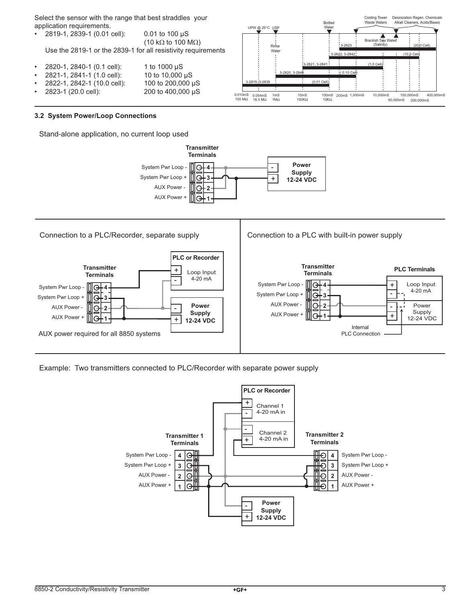Select the sensor with the range that best straddles your application requirements.

| $\bullet$ | 2819-1, 2839-1 (0.01 cell):                                   | $0.01$ to 100 $\mu$ S              |                               |                                       |                       |
|-----------|---------------------------------------------------------------|------------------------------------|-------------------------------|---------------------------------------|-----------------------|
|           |                                                               |                                    |                               |                                       |                       |
|           |                                                               | (10 k $\Omega$ to 100 M $\Omega$ ) |                               |                                       |                       |
|           | Use the 2819-1 or the 2839-1 for all resistivity requirements |                                    |                               |                                       | <b>Rin'se</b><br>Wate |
|           | 2820-1, 2840-1 (0.1 cell):                                    | 1 to $1000 \mu S$                  |                               |                                       |                       |
|           | 2821-1, 2841-1 (1.0 cell):                                    | 10 to 10,000 µS                    |                               |                                       |                       |
|           | 2822-1, 2842-1 (10.0 cell):                                   | 100 to 200,000 µS                  |                               | 3-2819. 3-2839                        |                       |
|           | 2823-1 (20.0 cell):                                           | 200 to 400,000 µS                  |                               |                                       |                       |
|           |                                                               |                                    | 0.010 <sub>ms</sub><br>100 MO | 0.054 <sub>ms</sub><br>18.3 $M\Omega$ | $1m$ S<br>$1M\Omega$  |



#### **3.2 System Power/Loop Connections**

Stand-alone application, no current loop used





Example: Two transmitters connected to PLC/Recorder with separate power supply

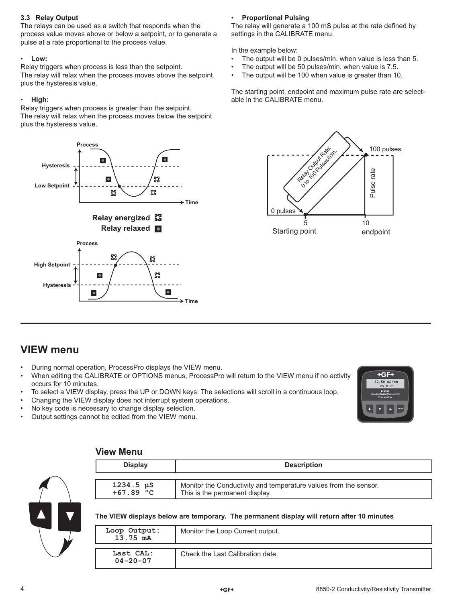# **3.3 Relay Output**

The relays can be used as a switch that responds when the process value moves above or below a setpoint, or to generate a pulse at a rate proportional to the process value.

### • **Low:**

Relay triggers when process is less than the setpoint. The relay will relax when the process moves above the setpoint plus the hysteresis value.

### • **High:**

Relay triggers when process is greater than the setpoint. The relay will relax when the process moves below the setpoint plus the hysteresis value.



# • **Proportional Pulsing**

The relay will generate a 100 mS pulse at the rate defined by settings in the CALIBRATE menu.

In the example below:

- The output will be 0 pulses/min. when value is less than 5.
- The output will be 50 pulses/min. when value is 7.5.
- The output will be 100 when value is greater than 10.

The starting point, endpoint and maximum pulse rate are selectable in the CALIBRATE menu.



# **VIEW menu**

- During normal operation, ProcessPro displays the VIEW menu.
- When editing the CALIBRATE or OPTIONS menus, ProcessPro will return to the VIEW menu if no activity occurs for 10 minutes.
- To select a VIEW display, press the UP or DOWN keys. The selections will scroll in a continuous loop.
- Changing the VIEW display does not interrupt system operations.
- No key code is necessary to change display selection.
- Output settings cannot be edited from the VIEW menu.



# **View Menu**

| <b>Display</b><br><b>Description</b> |                                                                  |
|--------------------------------------|------------------------------------------------------------------|
| $1234.5 \text{ }\mu\text{S}$         | Monitor the Conductivity and temperature values from the sensor. |
| $+67.89 °C$                          | This is the permanent display.                                   |

### **The VIEW displays below are temporary. The permanent display will return after 10 minutes**

| Loop Output:<br>13.75 mA    | Monitor the Loop Current output. |
|-----------------------------|----------------------------------|
| Last CAL:<br>$04 - 20 - 07$ | Check the Last Calibration date. |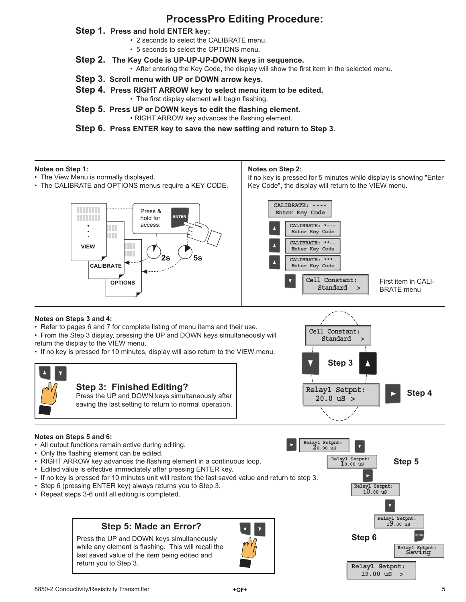# **ProcessPro Editing Procedure:**

# **Step 1. Press and hold ENTER key:**

- 2 seconds to select the CALIBRATE menu.
- 5 seconds to select the OPTIONS menu.
- **Step 2. The Key Code is UP-UP-UP-DOWN keys in sequence.**
	- After entering the Key Code, the display will show the first item in the selected menu.
- **Step 3. Scroll menu with UP or DOWN arrow keys.**
- **Step 4. Press RIGHT ARROW key to select menu item to be edited.** • The first display element will begin flashing.
- **Step 5. Press UP or DOWN keys to edit the flashing element.** • RIGHT ARROW key advances the flashing element.

**Step 6. Press ENTER key to save the new setting and return to Step 3.**

# **Notes on Step 1:**

- The View Menu is normally displayed.
- The CALIBRATE and OPTIONS menus require a KEY CODE.

### **Notes on Step 2:**

If no key is pressed for 5 minutes while display is showing "Enter Key Code", the display will return to the VIEW menu.



#### First item in CALI-BRATE menu CALIBRATE: **Enter Key Code CALIBRATE: \*--- Enter Key Code CALIBRATE: \*\*-- Enter Key Code CALIBRATE: \*\*\*- Enter Key Code Standard > Cell Constant:**

**Standard > Cell Constant:**

# **Notes on Steps 3 and 4:**

• Refer to pages 6 and 7 for complete listing of menu items and their use.

• From the Step 3 display, pressing the UP and DOWN keys simultaneously will return the display to the VIEW menu.

• If no key is pressed for 10 minutes, display will also return to the VIEW menu.



# **Notes on Steps 5 and 6:**

- All output functions remain active during editing.
- Only the flashing element can be edited.
- RIGHT ARROW key advances the flashing element in a continuous loop.
- Edited value is effective immediately after pressing ENTER key.
- If no key is pressed for 10 minutes unit will restore the last saved value and return to step 3.
- Step 6 (pressing ENTER key) always returns you to Step 3.
- Repeat steps 3-6 until all editing is completed.

# **Step 5: Made an Error?**

Press the UP and DOWN keys simultaneously while any element is flashing. This will recall the last saved value of the item being edited and return you to Step 3.



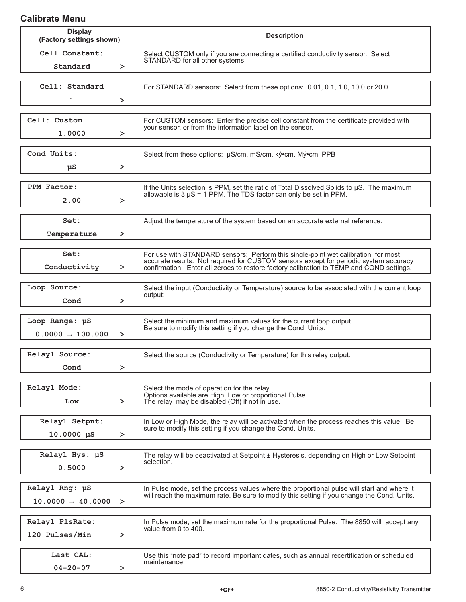# **Calibrate Menu**

| <b>Display</b><br>(Factory settings shown)      | <b>Description</b>                                                                                                                                                                                                                                                          |
|-------------------------------------------------|-----------------------------------------------------------------------------------------------------------------------------------------------------------------------------------------------------------------------------------------------------------------------------|
| Cell Constant:<br>Standard                      | Select CUSTOM only if you are connecting a certified conductivity sensor. Select<br>STANDARD for all other systems.<br>$\geq$                                                                                                                                               |
| Cell: Standard<br>1                             | For STANDARD sensors: Select from these options: 0.01, 0.1, 1.0, 10.0 or 20.0.<br>≻                                                                                                                                                                                         |
| Cell: Custom<br>1.0000                          | For CUSTOM sensors: Enter the precise cell constant from the certificate provided with<br>your sensor, or from the information label on the sensor.<br>$\geq$                                                                                                               |
| Cond Units:<br>μS                               | Select from these options: µS/cm, mS/cm, ký•cm, Mý•cm, PPB<br>$\geq$                                                                                                                                                                                                        |
| PPM Factor:<br>2.00                             | If the Units selection is PPM, set the ratio of Total Dissolved Solids to µS. The maximum<br>allowable is $3 \mu S = 1$ PPM. The TDS factor can only be set in PPM.<br>$\geq$                                                                                               |
| Set:<br>Temperature                             | Adjust the temperature of the system based on an accurate external reference.<br>≻                                                                                                                                                                                          |
| Set:<br>Conductivity                            | For use with STANDARD sensors: Perform this single-point wet calibration for most<br>accurate results. Not required for CUSTOM sensors except for periodic system accuracy<br>confirmation. Enter all zeroes to restore factory calibration to TEMP and COND settings.<br>≻ |
| Loop Source:<br>Cond                            | Select the input (Conductivity or Temperature) source to be associated with the current loop<br>output:<br>≻                                                                                                                                                                |
| Loop Range: µS<br>$0.0000 \rightarrow 100.000$  | Select the minimum and maximum values for the current loop output.<br>Be sure to modify this setting if you change the Cond. Units.<br>$\geq$                                                                                                                               |
| Relay1 Source:<br>Cond                          | Select the source (Conductivity or Temperature) for this relay output:<br>⋗                                                                                                                                                                                                 |
| Relay1 Mode:<br>Low                             | Select the mode of operation for the relay.<br>Options available are High, Low or proportional Pulse.<br>The relay may be disabled (Off) if not in use.<br>≻                                                                                                                |
| Relay1 Setpnt:<br>$10.0000 \text{ }\mu\text{S}$ | In Low or High Mode, the relay will be activated when the process reaches this value. Be<br>sure to modify this setting if you change the Cond. Units.<br>≻                                                                                                                 |
| Relay1 Hys: µS<br>0.5000                        | The relay will be deactivated at Setpoint ± Hysteresis, depending on High or Low Setpoint<br>selection.<br>≻                                                                                                                                                                |
| Relay1 Rng: µS<br>$10.0000 - 40.0000 >$         | In Pulse mode, set the process values where the proportional pulse will start and where it<br>will reach the maximum rate. Be sure to modify this setting if you change the Cond. Units.                                                                                    |
| Relay1 PlsRate:<br>120 Pulses/Min               | In Pulse mode, set the maximum rate for the proportional Pulse. The 8850 will accept any<br>value from 0 to 400.<br>$\geq$                                                                                                                                                  |
| Last CAL:<br>$04 - 20 - 07$                     | Use this "note pad" to record important dates, such as annual recertification or scheduled<br>maintenance.<br>≻                                                                                                                                                             |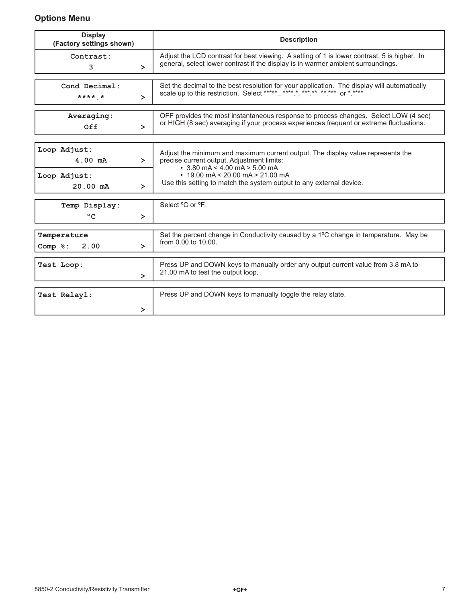# **Options Menu**

| <b>Display</b><br>(Factory settings shown)                                  | <b>Description</b>                                                                                                                                                                                                                                                                    |
|-----------------------------------------------------------------------------|---------------------------------------------------------------------------------------------------------------------------------------------------------------------------------------------------------------------------------------------------------------------------------------|
| Contrast:<br>3<br>$\geq$                                                    | Adjust the LCD contrast for best viewing. A setting of 1 is lower contrast, 5 is higher. In<br>general, select lower contrast if the display is in warmer ambient surroundings.                                                                                                       |
| Cond Decimal:<br>**** *<br>$\geq$                                           | Set the decimal to the best resolution for your application. The display will automatically scale up to this restriction. Select *****, *****, ***.**, ***.** or *.**** or *.****                                                                                                     |
| Averaging:<br>Off<br>$\geq$                                                 | OFF provides the most instantaneous response to process changes. Select LOW (4 sec)<br>or HIGH (8 sec) averaging if your process experiences frequent or extreme fluctuations.                                                                                                        |
| Loop Adjust:<br>$4.00$ mA<br>$\geq$<br>Loop Adjust:<br>$20.00$ mA<br>$\geq$ | Adjust the minimum and maximum current output. The display value represents the<br>precise current output. Adjustment limits:<br>$\cdot$ 3.80 mA < 4.00 mA > 5.00 mA<br>$\cdot$ 19.00 mA < 20.00 mA > 21.00 mA<br>Use this setting to match the system output to any external device. |
| Temp Display:<br>$^{\circ}$ C<br>$\geq$                                     | Select °C or °F.                                                                                                                                                                                                                                                                      |
| Temperature<br>2.00<br>Comp %:<br>$\geq$                                    | Set the percent change in Conductivity caused by a 1°C change in temperature. May be<br>from 0.00 to 10.00.                                                                                                                                                                           |
| Test Loop:<br>$\geq$                                                        | Press UP and DOWN keys to manually order any output current value from 3.8 mA to<br>21.00 mA to test the output loop.                                                                                                                                                                 |
| Test Relay1:<br>≻                                                           | Press UP and DOWN keys to manually toggle the relay state.                                                                                                                                                                                                                            |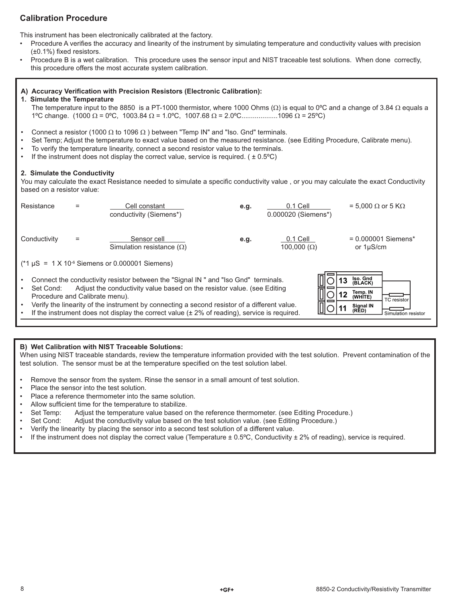# **Calibration Procedure**

This instrument has been electronically calibrated at the factory.

- Procedure A verifies the accuracy and linearity of the instrument by simulating temperature and conductivity values with precision  $(\pm 0.1\%)$  fixed resistors.
- Procedure B is a wet calibration. This procedure uses the sensor input and NIST traceable test solutions. When done correctly, this procedure offers the most accurate system calibration.

### A) Accuracy Verification with Precision Resistors (Electronic Calibration):

### **1. Simulate the Temperature**

The temperature input to the 8850 is a PT-1000 thermistor, where 1000 Ohms ( $\Omega$ ) is equal to 0°C and a change of 3.84  $\Omega$  equals a 1°C change. (1000 Ω = 0°C, 1003.84 Ω = 1.0°C, 1007.68 Ω = 2.0°C...................1096 Ω = 25°C)

- Connect a resistor (1000  $\Omega$  to 1096  $\Omega$ ) between "Temp IN" and "Iso. Gnd" terminals.
- Set Temp; Adjust the temperature to exact value based on the measured resistance. (see Editing Procedure, Calibrate menu).
- To verify the temperature linearity, connect a second resistor value to the terminals.
- If the instrument does not display the correct value, service is required.  $( \pm 0.5^{\circ}C)$

### **2. Simulate the Conductivity**

You may calculate the exact Resistance needed to simulate a specific conductivity value, or you may calculate the exact Conductivity based on a resistor value:

|                                                                                                                                                                                                                                                                                                                                                                                                                                                                                                                                                                                                                                               |  | conductivity (Siemens*)                         | e.g. | $0.1$ Cell<br>0.000020 (Siemens*) | = 5,000 $\Omega$ or 5 K $\Omega$        |
|-----------------------------------------------------------------------------------------------------------------------------------------------------------------------------------------------------------------------------------------------------------------------------------------------------------------------------------------------------------------------------------------------------------------------------------------------------------------------------------------------------------------------------------------------------------------------------------------------------------------------------------------------|--|-------------------------------------------------|------|-----------------------------------|-----------------------------------------|
| Conductivity                                                                                                                                                                                                                                                                                                                                                                                                                                                                                                                                                                                                                                  |  | Sensor cell<br>Simulation resistance $(\Omega)$ | e.q. | $0.1$ Cell<br>$100,000 (\Omega)$  | $= 0.000001$ Siemens*<br>or $1\mu$ S/cm |
| $(*1 \,\mu S = 1 \,\text{X} 10\text{°}$ Siemens or 0.000001 Siemens)<br>Iso. Gnd<br>Connect the conductivity resistor between the "Signal IN" and "Iso Gnd" terminals.<br>(BLACK)<br>Adjust the conductivity value based on the resistor value. (see Editing<br>Set Cond:<br>=<br>$\bullet$<br>Temp. IN<br>(WHITE)<br>Procedure and Calibrate menu).<br>TC resistor<br>Verify the linearity of the instrument by connecting a second resistor of a different value.<br>$\bullet$<br>Signal IN<br>(RED)<br>If the instrument does not display the correct value $(± 2% of reading)$ , service is required.<br>$\bullet$<br>Simulation resistor |  |                                                 |      |                                   |                                         |

# **B) Wet Calibration with NIST Traceable Solutions:**

When using NIST traceable standards, review the temperature information provided with the test solution. Prevent contamination of the test solution. The sensor must be at the temperature specified on the test solution label.

- Remove the sensor from the system. Rinse the sensor in a small amount of test solution.
- Place the sensor into the test solution.
- Place a reference thermometer into the same solution.
- Allow sufficient time for the temperature to stabilize.
- Set Temp: Adjust the temperature value based on the reference thermometer. (see Editing Procedure.)
- Set Cond: Adjust the conductivity value based on the test solution value. (see Editing Procedure.)
- Verify the linearity by placing the sensor into a second test solution of a different value.
- If the instrument does not display the correct value (Temperature  $\pm$  0.5°C, Conductivity  $\pm$  2% of reading), service is required.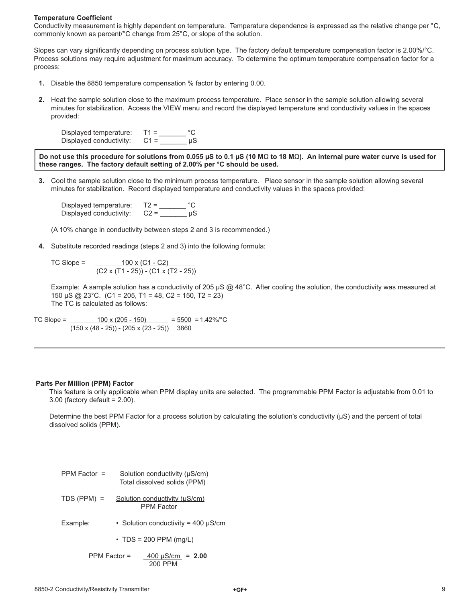#### **Temperature Coefficient**

Conductivity measurement is highly dependent on temperature. Temperature dependence is expressed as the relative change per °C, commonly known as percent/°C change from 25°C, or slope of the solution.

Slopes can vary significantly depending on process solution type. The factory default temperature compensation factor is 2.00%/°C. Process solutions may require adjustment for maximum accuracy. To determine the optimum temperature compensation factor for a process:

- **1.** Disable the 8850 temperature compensation % factor by entering 0.00.
- **2.** Heat the sample solution close to the maximum process temperature. Place sensor in the sample solution allowing several minutes for stabilization. Access the VIEW menu and record the displayed temperature and conductivity values in the spaces provided:

| Displayed temperature:  | $T1 =$ |    |
|-------------------------|--------|----|
| Displayed conductivity: | $C1 =$ | иS |

**Do not use this procedure for solutions from 0.055 µS to 0.1 µS (10 M**Ω **to 18 M**Ω**). An internal pure water curve is used for these ranges. The factory default setting of 2.00% per °C should be used.**

 **3.** Cool the sample solution close to the minimum process temperature. Place sensor in the sample solution allowing several minutes for stabilization. Record displayed temperature and conductivity values in the spaces provided:

Displayed temperature:  $T2 =$  \_\_\_\_\_\_\_\_\_ °C<br>Displayed conductivity:  $C2 =$  \_\_\_\_\_\_\_\_\_\_ µS Displayed conductivity:

(A 10% change in conductivity between steps 2 and 3 is recommended.)

 **4.** Substitute recorded readings (steps 2 and 3) into the following formula:

TC Slope =  $\sqrt{100 \times (C1 - C2)}$ (C2 x (T1 - 25)) - (C1 x (T2 - 25))

Example: A sample solution has a conductivity of 205  $\mu$ S @ 48°C. After cooling the solution, the conductivity was measured at 150 µS @ 23°C. (C1 = 205, T1 = 48, C2 = 150, T2 = 23) The TC is calculated as follows:

TC Slope =  $\frac{100 \times (205 - 150)}{205 - 150}$  =  $\frac{5500}{20}$  = 1.42%/°C  $(150 \times (48 - 25)) - (205 \times (23 - 25))$  3860

#### **Parts Per Million (PPM) Factor**

This feature is only applicable when PPM display units are selected. The programmable PPM Factor is adjustable from 0.01 to 3.00 (factory default = 2.00).

Determine the best PPM Factor for a process solution by calculating the solution's conductivity  $(\mu S)$  and the percent of total dissolved solids (PPM).

| PPM Factor $=$ | Solution conductivity (µS/cm)<br>Total dissolved solids (PPM) |
|----------------|---------------------------------------------------------------|
| $TDS (PPM) =$  | Solution conductivity (µS/cm)<br><b>PPM Factor</b>            |
| Example:       | • Solution conductivity = 400 µS/cm                           |
|                | $\cdot$ TDS = 200 PPM (mg/L)                                  |
| PPM Factor =   | $400 \mu S/cm = 2.00$<br>200 PPM                              |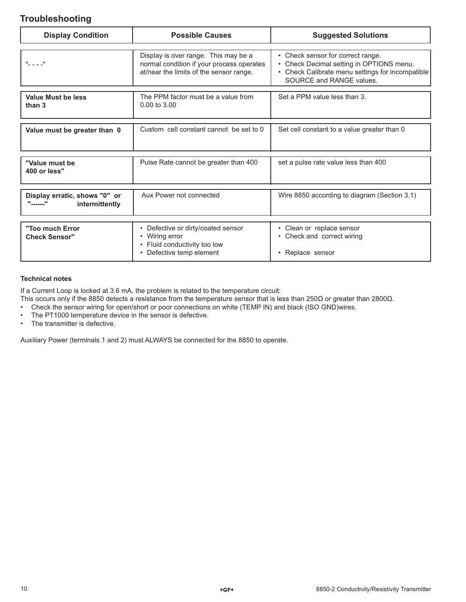# **Troubleshooting**

| <b>Possible Causes</b>                                                             | <b>Suggested Solutions</b>                                                                                                        |
|------------------------------------------------------------------------------------|-----------------------------------------------------------------------------------------------------------------------------------|
| Display is over range. This may be a                                               | • Check sensor for correct range.                                                                                                 |
| at/near the limits of the sensor range.                                            | Check Decimal setting in OPTIONS menu.<br>$\bullet$<br>Check Calibrate menu settings for incompatible<br>SOURCE and RANGE values. |
| The PPM factor must be a value from<br>$0.00$ to $3.00$                            | Set a PPM value less than 3.                                                                                                      |
| Custom cell constant cannot be set to 0                                            | Set cell constant to a value greater than 0                                                                                       |
|                                                                                    |                                                                                                                                   |
|                                                                                    | set a pulse rate value less than 400                                                                                              |
| Aux Power not connected                                                            | Wire 8850 according to diagram (Section 3.1)                                                                                      |
|                                                                                    |                                                                                                                                   |
| Defective or dirty/coated sensor<br>• Wiring error<br>• Fluid conductivity too low | • Clean or replace sensor<br>• Check and correct wiring<br>• Replace sensor                                                       |
|                                                                                    | normal condition if your process operates<br>Pulse Rate cannot be greater than 400<br>• Defective temp element                    |

### **Technical notes**

If a Current Loop is locked at 3.6 mA, the problem is related to the temperature circuit:

- This occurs only if the 8850 detects a resistance from the temperature sensor that is less than 250Ω or greater than 2800Ω.
- Check the sensor wiring for open/short or poor connections on white (TEMP IN) and black (ISO GND)wires.
- The PT1000 temperature device in the sensor is defective.
- The transmitter is defective.

Auxiliary Power (terminals 1 and 2) must ALWAYS be connected for the 8850 to operate.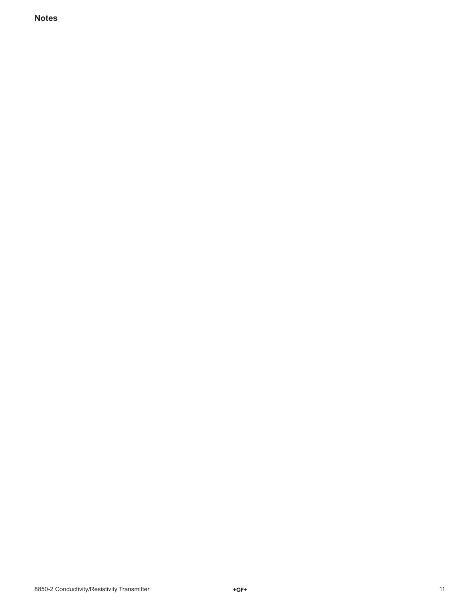**Notes**